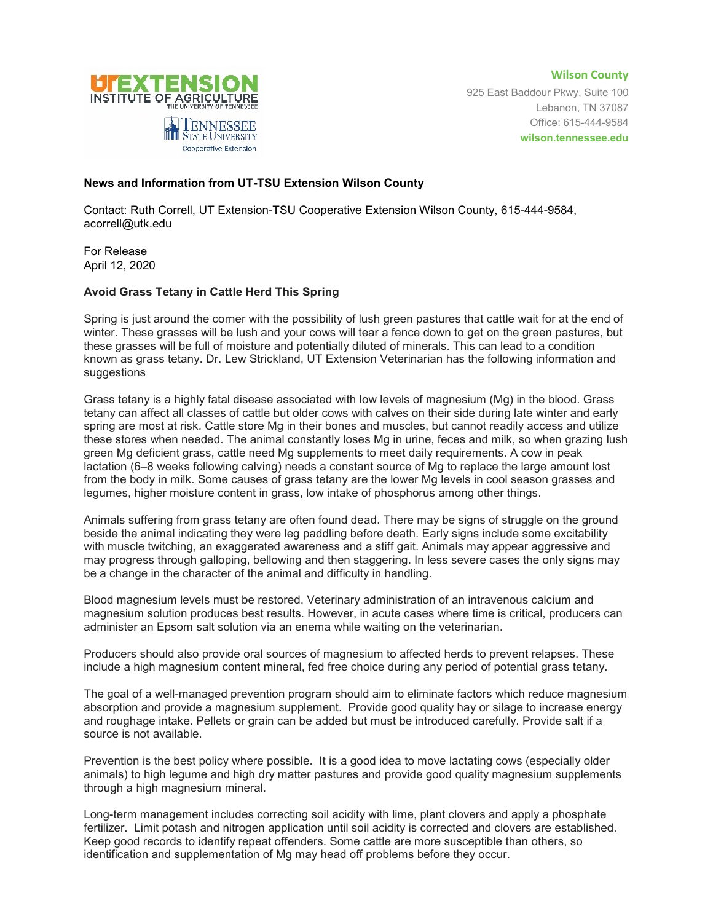

**Wilson County** 925 East Baddour Pkwy, Suite 100 Lebanon, TN 37087 Office: 615-444-9584 **wilson.tennessee.edu**

## **News and Information from UT-TSU Extension Wilson County**

Contact: Ruth Correll, UT Extension-TSU Cooperative Extension Wilson County, 615-444-9584, acorrell@utk.edu

For Release April 12, 2020

## **Avoid Grass Tetany in Cattle Herd This Spring**

Spring is just around the corner with the possibility of lush green pastures that cattle wait for at the end of winter. These grasses will be lush and your cows will tear a fence down to get on the green pastures, but these grasses will be full of moisture and potentially diluted of minerals. This can lead to a condition known as grass tetany. Dr. Lew Strickland, UT Extension Veterinarian has the following information and suggestions

Grass tetany is a highly fatal disease associated with low levels of magnesium (Mg) in the blood. Grass tetany can affect all classes of cattle but older cows with calves on their side during late winter and early spring are most at risk. Cattle store Mg in their bones and muscles, but cannot readily access and utilize these stores when needed. The animal constantly loses Mg in urine, feces and milk, so when grazing lush green Mg deficient grass, cattle need Mg supplements to meet daily requirements. A cow in peak lactation (6–8 weeks following calving) needs a constant source of Mg to replace the large amount lost from the body in milk. Some causes of grass tetany are the lower Mg levels in cool season grasses and legumes, higher moisture content in grass, low intake of phosphorus among other things.

Animals suffering from grass tetany are often found dead. There may be signs of struggle on the ground beside the animal indicating they were leg paddling before death. Early signs include some excitability with muscle twitching, an exaggerated awareness and a stiff gait. Animals may appear aggressive and may progress through galloping, bellowing and then staggering. In less severe cases the only signs may be a change in the character of the animal and difficulty in handling.

Blood magnesium levels must be restored. Veterinary administration of an intravenous calcium and magnesium solution produces best results. However, in acute cases where time is critical, producers can administer an Epsom salt solution via an enema while waiting on the veterinarian.

Producers should also provide oral sources of magnesium to affected herds to prevent relapses. These include a high magnesium content mineral, fed free choice during any period of potential grass tetany.

The goal of a well-managed prevention program should aim to eliminate factors which reduce magnesium absorption and provide a magnesium supplement. Provide good quality hay or silage to increase energy and roughage intake. Pellets or grain can be added but must be introduced carefully. Provide salt if a source is not available.

Prevention is the best policy where possible. It is a good idea to move lactating cows (especially older animals) to high legume and high dry matter pastures and provide good quality magnesium supplements through a high magnesium mineral.

Long-term management includes correcting soil acidity with lime, plant clovers and apply a phosphate fertilizer. Limit potash and nitrogen application until soil acidity is corrected and clovers are established. Keep good records to identify repeat offenders. Some cattle are more susceptible than others, so identification and supplementation of Mg may head off problems before they occur.